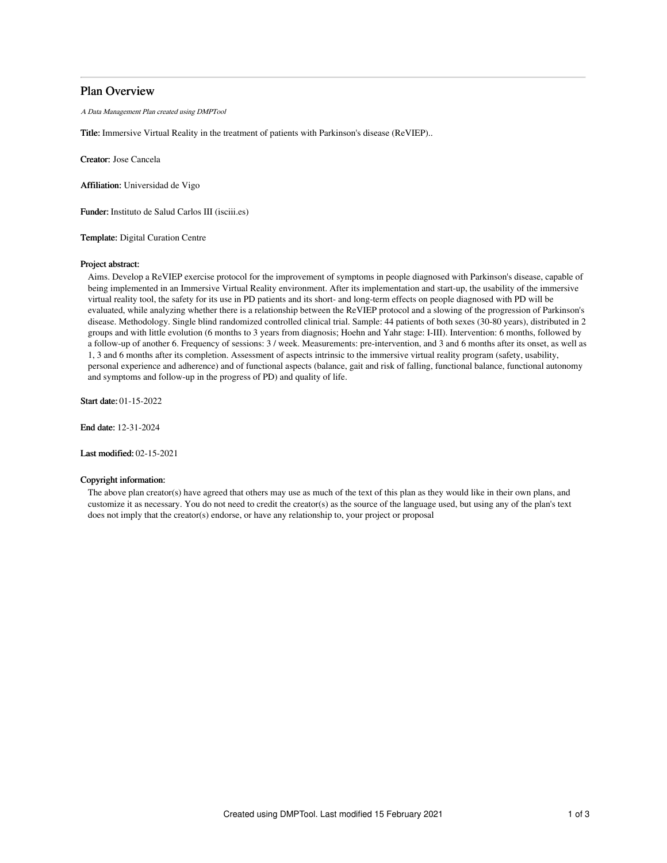# Plan Overview

A Data Management Plan created using DMPTool

Title: Immersive Virtual Reality in the treatment of patients with Parkinson's disease (ReVIEP)..

Creator: Jose Cancela

Affiliation: Universidad de Vigo

Funder: Instituto de Salud Carlos III (isciii.es)

Template: Digital Curation Centre

### Project abstract:

Aims. Develop a ReVIEP exercise protocol for the improvement of symptoms in people diagnosed with Parkinson's disease, capable of being implemented in an Immersive Virtual Reality environment. After its implementation and start-up, the usability of the immersive virtual reality tool, the safety for its use in PD patients and its short- and long-term effects on people diagnosed with PD will be evaluated, while analyzing whether there is a relationship between the ReVIEP protocol and a slowing of the progression of Parkinson's disease. Methodology. Single blind randomized controlled clinical trial. Sample: 44 patients of both sexes (30-80 years), distributed in 2 groups and with little evolution (6 months to 3 years from diagnosis; Hoehn and Yahr stage: I-III). Intervention: 6 months, followed by a follow-up of another 6. Frequency of sessions: 3 / week. Measurements: pre-intervention, and 3 and 6 months after its onset, as well as 1, 3 and 6 months after its completion. Assessment of aspects intrinsic to the immersive virtual reality program (safety, usability, personal experience and adherence) and of functional aspects (balance, gait and risk of falling, functional balance, functional autonomy and symptoms and follow-up in the progress of PD) and quality of life.

Start date: 01-15-2022

End date: 12-31-2024

Last modified: 02-15-2021

## Copyright information:

The above plan creator(s) have agreed that others may use as much of the text of this plan as they would like in their own plans, and customize it as necessary. You do not need to credit the creator(s) as the source of the language used, but using any of the plan's text does not imply that the creator(s) endorse, or have any relationship to, your project or proposal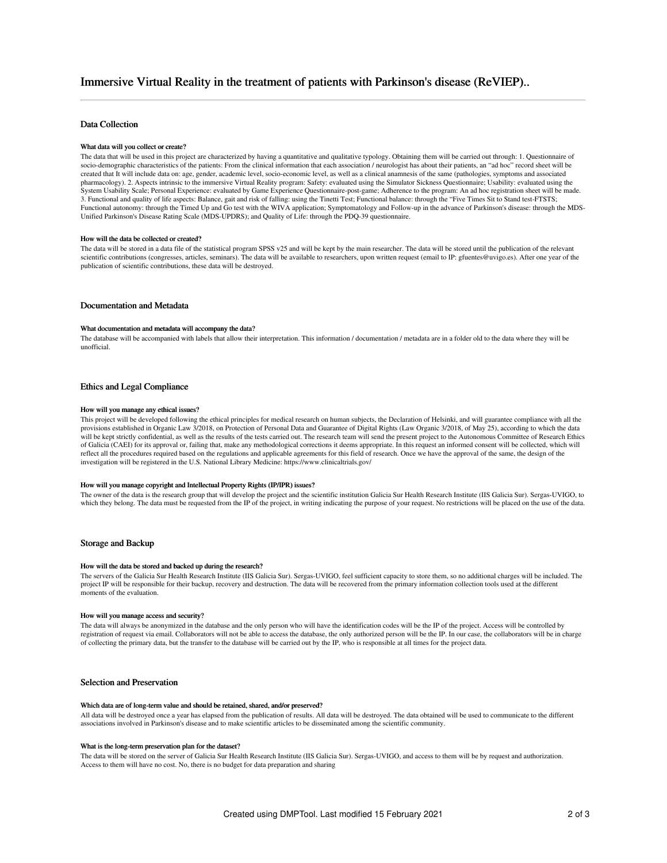# Immersive Virtual Reality in the treatment of patients with Parkinson's disease (ReVIEP)..

# Data Collection

### What data will you collect or create?

The data that will be used in this project are characterized by having a quantitative and qualitative typology. Obtaining them will be carried out through: 1. Questionnaire of socio-demographic characteristics of the patients: From the clinical information that each association / neurologist has about their patients, an "ad hoc" record sheet will be created that It will include data on: age, gender, academic level, socio-economic level, as well as a clinical anamnesis of the same (pathologies, symptoms and associated pharmacology). 2. Aspects intrinsic to the immersive Virtual Reality program: Safety: evaluated using the Simulator Sickness Questionnaire; Usability: evaluated using the System Usability Scale; Personal Experience: evaluated by Game Experience Questionnaire-post-game; Adherence to the program: An ad hoc registration sheet will be made. 3. Functional and quality of life aspects: Balance, gait and risk of falling: using the Tinetti Test; Functional balance: through the "Five Times Sit to Stand test-FTSTS; Functional autonomy: through the Timed Up and Go test with the WIVA application; Symptomatology and Follow-up in the advance of Parkinson's disease: through the MDS-Unified Parkinson's Disease Rating Scale (MDS-UPDRS); and Quality of Life: through the PDQ-39 questionnaire.

### How will the data be collected or created?

The data will be stored in a data file of the statistical program SPSS v25 and will be kept by the main researcher. The data will be stored until the publication of the relevant scientific contributions (congresses, articles, seminars). The data will be available to researchers, upon written request (email to IP: gfuentes@uvigo.es). After one year of the publication of scientific contributions, these data will be destroyed.

## Documentation and Metadata

### What documentation and metadata will accompany the data?

The database will be accompanied with labels that allow their interpretation. This information / documentation / metadata are in a folder old to the data where they will be unofficial.

### Ethics and Legal Compliance

#### How will you manage any ethical issues?

This project will be developed following the ethical principles for medical research on human subjects, the Declaration of Helsinki, and will guarantee compliance with all the provisions established in Organic Law 3/2018, on Protection of Personal Data and Guarantee of Digital Rights (Law Organic 3/2018, of May 25), according to which the data will be kept strictly confidential, as well as the results of the tests carried out. The research team will send the present project to the Autonomous Committee of Research Ethics of Galicia (CAEI) for its approval or, failing that, make any methodological corrections it deems appropriate. In this request an informed consent will be collected, which will reflect all the procedures required based on the regulations and applicable agreements for this field of research. Once we have the approval of the same, the design of the investigation will be registered in the U.S. National Library Medicine: https://www.clinicaltrials.gov/

# How will you manage copyright and Intellectual Property Rights (IP/IPR) issues?

The owner of the data is the research group that will develop the project and the scientific institution Galicia Sur Health Research Institute (IIS Galicia Sur). Sergas-UVIGO, to which they belong. The data must be requested from the IP of the project, in writing indicating the purpose of your request. No restrictions will be placed on the use of the data.

#### Storage and Backup

# How will the data be stored and backed up during the research?

The servers of the Galicia Sur Health Research Institute (IIS Galicia Sur). Sergas-UVIGO, feel sufficient capacity to store them, so no additional charges will be included. The project IP will be responsible for their backup, recovery and destruction. The data will be recovered from the primary information collection tools used at the different moments of the evaluation.

### How will you manage access and security?

The data will always be anonymized in the database and the only person who will have the identification codes will be the IP of the project. Access will be controlled by registration of request via email. Collaborators will not be able to access the database, the only authorized person will be the IP. In our case, the collaborators will be in charge of collecting the primary data, but the transfer to the database will be carried out by the IP, who is responsible at all times for the project data.

## Selection and Preservation

#### Which data are of long-term value and should be retained, shared, and/or preserved?

All data will be destroyed once a year has elapsed from the publication of results. All data will be destroyed. The data obtained will be used to communicate to the different associations involved in Parkinson's disease and to make scientific articles to be disseminated among the scientific community.

#### What is the long-term preservation plan for the dataset?

The data will be stored on the server of Galicia Sur Health Research Institute (IIS Galicia Sur). Sergas-UVIGO, and access to them will be by request and authorization. Access to them will have no cost. No, there is no budget for data preparation and sharing